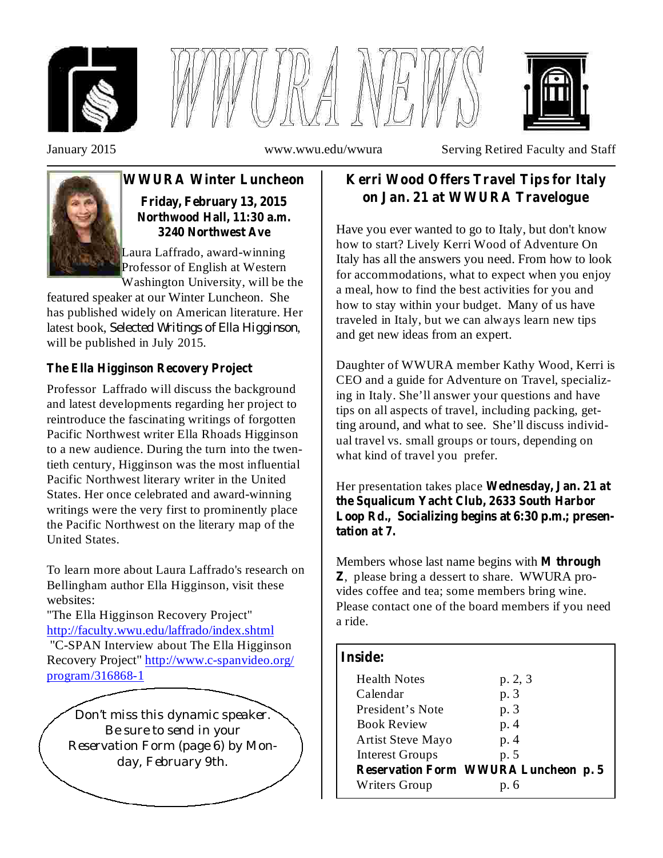





January 2015 www.wwu.edu/wwura Serving Retired Faculty and Staff



## **WWURA Winter Luncheon Friday, February 13, 2015 Northwood Hall, 11:30 a.m. 3240 Northwest Ave**

Laura Laffrado, award-winning Professor of English at Western Washington University, will be the

featured speaker at our Winter Luncheon. She has published widely on American literature. Her latest book, , *Selected Writings of Ella Higginson* will be published in July 2015.

# **The Ella Higginson Recovery Project**

Professor Laffrado will discuss the background and latest developments regarding her project to reintroduce the fascinating writings of forgotten Pacific Northwest writer Ella Rhoads Higginson to a new audience. During the turn into the twentieth century, Higginson was the most influential Pacific Northwest literary writer in the United States. Her once celebrated and award-winning writings were the very first to prominently place the Pacific Northwest on the literary map of the United States.

To learn more about Laura Laffrado's research on Bellingham author Ella Higginson, visit these websites:

"The Ella Higginson Recovery Project" http://faculty.wwu.edu/laffrado/index.shtml "C-SPAN Interview about The Ella Higginson

Recovery Project" http://www.c-spanvideo.org/ program/316868-1

*Don't miss this dynamic speaker. Be sure to send in your Reservation Form (page 6) by Monday, February 9th.*

# **Kerri Wood Offers Travel Tips for Italy on Jan. 21 at WWURA Travelogue**

Have you ever wanted to go to Italy, but don't know how to start? Lively Kerri Wood of Adventure On Italy has all the answers you need. From how to look for accommodations, what to expect when you enjoy a meal, how to find the best activities for you and how to stay within your budget. Many of us have traveled in Italy, but we can always learn new tips and get new ideas from an expert.

Daughter of WWURA member Kathy Wood, Kerri is CEO and a guide for Adventure on Travel, specializing in Italy. She'll answer your questions and have tips on all aspects of travel, including packing, getting around, and what to see. She'll discuss individual travel vs. small groups or tours, depending on what kind of travel you prefer.

Her presentation takes place **Wednesday, Jan. 21 at the Squalicum Yacht Club, 2633 South Harbor Loop Rd., Socializing begins at 6:30 p.m.; presentation at 7.**

Members whose last name begins with **M through** , please bring a dessert to share. WWURA pro-**Z** vides coffee and tea; some members bring wine. Please contact one of the board members if you need a ride.

## **Inside:**

| <b>Health Notes</b>      | p. 2, 3                                     |
|--------------------------|---------------------------------------------|
| Calendar                 | p. 3                                        |
| President's Note         | p. 3                                        |
| <b>Book Review</b>       | p. 4                                        |
| <b>Artist Steve Mayo</b> | p. 4                                        |
| <b>Interest Groups</b>   | p. 5                                        |
|                          | <b>Reservation Form WWURA Luncheon p. 5</b> |
| Writers Group            | p. 6                                        |
|                          |                                             |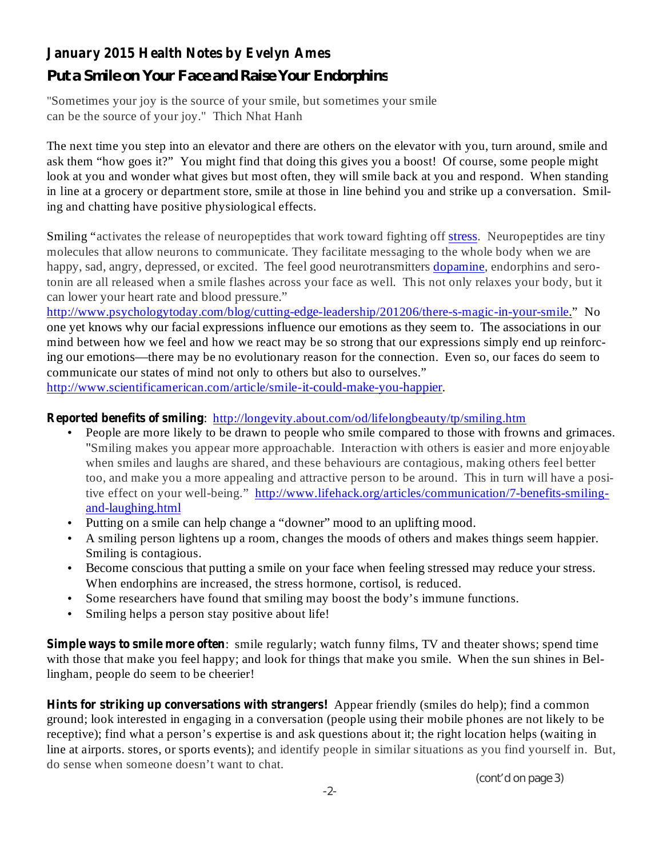# **January 2015 Health Notes by Evelyn Ames**

# *Put a Smile on Your Face and Raise Your Endorphins*

"Sometimes your joy is the source of your smile, but sometimes your smile can be the source of your joy." Thich Nhat Hanh

The next time you step into an elevator and there are others on the elevator with you, turn around, smile and ask them "how goes it?" You might find that doing this gives you a boost! Of course, some people might look at you and wonder what gives but most often, they will smile back at you and respond. When standing in line at a grocery or department store, smile at those in line behind you and strike up a conversation. Smiling and chatting have positive physiological effects.

Smiling "activates the release of neuropeptides that work toward fighting off stress. Neuropeptides are tiny molecules that allow neurons to communicate. They facilitate messaging to the whole body when we are happy, sad, angry, depressed, or excited. The feel good neurotransmitters dopamine, endorphins and serotonin are all released when a smile flashes across your face as well. This not only relaxes your body, but it can lower your heart rate and blood pressure."

http://www.psychologytoday.com/blog/cutting-edge-leadership/201206/there-s-magic-in-your-smile." No one yet knows why our facial expressions influence our emotions as they seem to. The associations in our mind between how we feel and how we react may be so strong that our expressions simply end up reinforcing our emotions—there may be no evolutionary reason for the connection. Even so, our faces do seem to communicate our states of mind not only to others but also to ourselves."

http://www.scientificamerican.com/article/smile-it-could-make-you-happier.

#### **Reported benefits of smiling** : http://longevity.about.com/od/lifelongbeauty/tp/smiling.htm

- People are more likely to be drawn to people who smile compared to those with frowns and grimaces. "Smiling makes you appear more approachable. Interaction with others is easier and more enjoyable when smiles and laughs are shared, and these behaviours are contagious, making others feel better too, and make you a more appealing and attractive person to be around. This in turn will have a positive effect on your well-being." http://www.lifehack.org/articles/communication/7-benefits-smilingand-laughing.html •
- Putting on a smile can help change a "downer" mood to an uplifting mood.
- A smiling person lightens up a room, changes the moods of others and makes things seem happier. Smiling is contagious. •
- Become conscious that putting a smile on your face when feeling stressed may reduce your stress. When endorphins are increased, the stress hormone, cortisol, is reduced. •
- Some researchers have found that smiling may boost the body's immune functions. •
- Smiling helps a person stay positive about life! •

**Simple ways to smile more often** : smile regularly; watch funny films, TV and theater shows; spend time with those that make you feel happy; and look for things that make you smile. When the sun shines in Bellingham, people do seem to be cheerier!

**Hints for striking up conversations with strangers!** Appear friendly (smiles do help); find a common ground; look interested in engaging in a conversation (people using their mobile phones are not likely to be receptive); find what a person's expertise is and ask questions about it; the right location helps (waiting in line at airports. stores, or sports events); and identify people in similar situations as you find yourself in. But, do sense when someone doesn't want to chat.

*(cont'd on page 3)*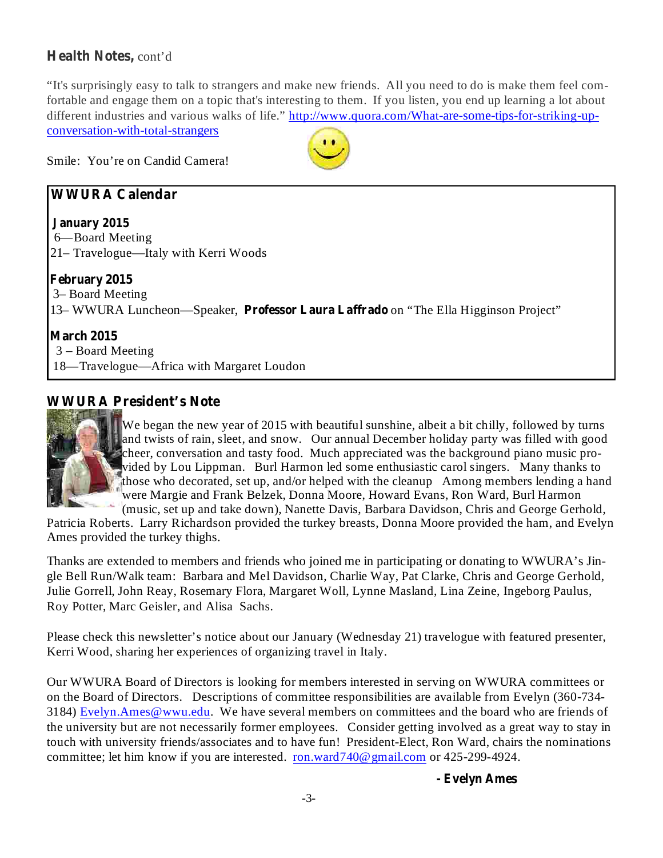# Health Notes, cont'd

"It's surprisingly easy to talk to strangers and make new friends. All you need to do is make them feel comfortable and engage them on a topic that's interesting to them. If you listen, you end up learning a lot about different industries and various walks of life." http://www.quora.com/What-are-some-tips-for-striking-upconversation-with-total-strangers



Smile: You're on Candid Camera!

# **WWURA Calendar**

### **January 2015**

6—Board Meeting 21– Travelogue—Italy with Kerri Woods

## **February 2015**

3– Board Meeting 13– WWURA Luncheon—Speaker, Professor Laura Laffrado on "The Ella Higginson Project"

### **March 2015**

3 – Board Meeting 18—Travelogue—Africa with Margaret Loudon

# **WWURA President's Note**



We began the new year of 2015 with beautiful sunshine, albeit a bit chilly, followed by turns and twists of rain, sleet, and snow. Our annual December holiday party was filled with good cheer, conversation and tasty food. Much appreciated was the background piano music provided by Lou Lippman. Burl Harmon led some enthusiastic carol singers. Many thanks to those who decorated, set up, and/or helped with the cleanup Among members lending a hand were Margie and Frank Belzek, Donna Moore, Howard Evans, Ron Ward, Burl Harmon (music, set up and take down), Nanette Davis, Barbara Davidson, Chris and George Gerhold,

Patricia Roberts. Larry Richardson provided the turkey breasts, Donna Moore provided the ham, and Evelyn Ames provided the turkey thighs.

Thanks are extended to members and friends who joined me in participating or donating to WWURA's Jingle Bell Run/Walk team: Barbara and Mel Davidson, Charlie Way, Pat Clarke, Chris and George Gerhold, Julie Gorrell, John Reay, Rosemary Flora, Margaret Woll, Lynne Masland, Lina Zeine, Ingeborg Paulus, Roy Potter, Marc Geisler, and Alisa Sachs.

Please check this newsletter's notice about our January (Wednesday 21) travelogue with featured presenter, Kerri Wood, sharing her experiences of organizing travel in Italy.

Our WWURA Board of Directors is looking for members interested in serving on WWURA committees or on the Board of Directors. Descriptions of committee responsibilities are available from Evelyn (360-734- 3184) Evelyn.Ames@wwu.edu. We have several members on committees and the board who are friends of the university but are not necessarily former employees. Consider getting involved as a great way to stay in touch with university friends/associates and to have fun! President-Elect, Ron Ward, chairs the nominations committee; let him know if you are interested. ron.ward740@gmail.com or 425-299-4924.

**- Evelyn Ames**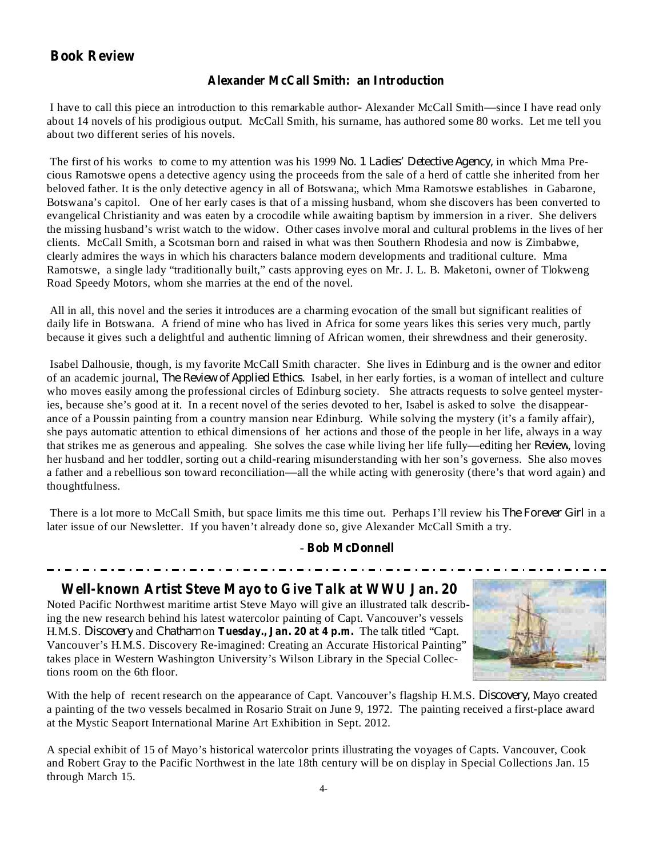## **Book Review**

#### **Alexander McCall Smith: an Introduction**

I have to call this piece an introduction to this remarkable author- Alexander McCall Smith—since I have read only about 14 novels of his prodigious output. McCall Smith, his surname, has authored some 80 works. Let me tell you about two different series of his novels.

The first of his works to come to my attention was his 1999 No. 1 Ladies' Detective Agency, in which Mma Precious Ramotswe opens a detective agency using the proceeds from the sale of a herd of cattle she inherited from her beloved father. It is the only detective agency in all of Botswana;, which Mma Ramotswe establishes in Gabarone, Botswana's capitol. One of her early cases is that of a missing husband, whom she discovers has been converted to evangelical Christianity and was eaten by a crocodile while awaiting baptism by immersion in a river. She delivers the missing husband's wrist watch to the widow. Other cases involve moral and cultural problems in the lives of her clients. McCall Smith, a Scotsman born and raised in what was then Southern Rhodesia and now is Zimbabwe, clearly admires the ways in which his characters balance modern developments and traditional culture. Mma Ramotswe, a single lady "traditionally built," casts approving eyes on Mr. J. L. B. Maketoni, owner of Tlokweng Road Speedy Motors, whom she marries at the end of the novel.

All in all, this novel and the series it introduces are a charming evocation of the small but significant realities of daily life in Botswana. A friend of mine who has lived in Africa for some years likes this series very much, partly because it gives such a delightful and authentic limning of African women, their shrewdness and their generosity.

Isabel Dalhousie, though, is my favorite McCall Smith character. She lives in Edinburg and is the owner and editor of an academic journal, *The Review of Applied Ethics*. Isabel, in her early forties, is a woman of intellect and culture who moves easily among the professional circles of Edinburg society. She attracts requests to solve genteel mysteries, because she's good at it. In a recent novel of the series devoted to her, Isabel is asked to solve the disappearance of a Poussin painting from a country mansion near Edinburg. While solving the mystery (it's a family affair), she pays automatic attention to ethical dimensions of her actions and those of the people in her life, always in a way that strikes me as generous and appealing. She solves the case while living her life fully—editing her *Review*, loving her husband and her toddler, sorting out a child-rearing misunderstanding with her son's governess. She also moves a father and a rebellious son toward reconciliation—all the while acting with generosity (there's that word again) and thoughtfulness.

There is a lot more to McCall Smith, but space limits me this time out. Perhaps I'll review his *The Forever Girl* in a later issue of our Newsletter. If you haven't already done so, give Alexander McCall Smith a try.

#### **Bob McDonnell** -

#### **Well-known Artist Steve Mayo to Give Talk at WWU Jan. 20**

H.M.S. Discovery and Chatham on Tuesday., Jan. 20 at 4 p.m. The talk titled "Capt. Noted Pacific Northwest maritime artist Steve Mayo will give an illustrated talk describing the new research behind his latest watercolor painting of Capt. Vancouver's vessels Vancouver's H.M.S. Discovery Re-imagined: Creating an Accurate Historical Painting" takes place in Western Washington University's Wilson Library in the Special Collections room on the 6th floor.



With the help of recent research on the appearance of Capt. Vancouver's flagship H.M.S. *Discovery*, Mayo created a painting of the two vessels becalmed in Rosario Strait on June 9, 1972. The painting received a first-place award at the Mystic Seaport International Marine Art Exhibition in Sept. 2012.

A special exhibit of 15 of Mayo's historical watercolor prints illustrating the voyages of Capts. Vancouver, Cook and Robert Gray to the Pacific Northwest in the late 18th century will be on display in Special Collections Jan. 15 through March 15.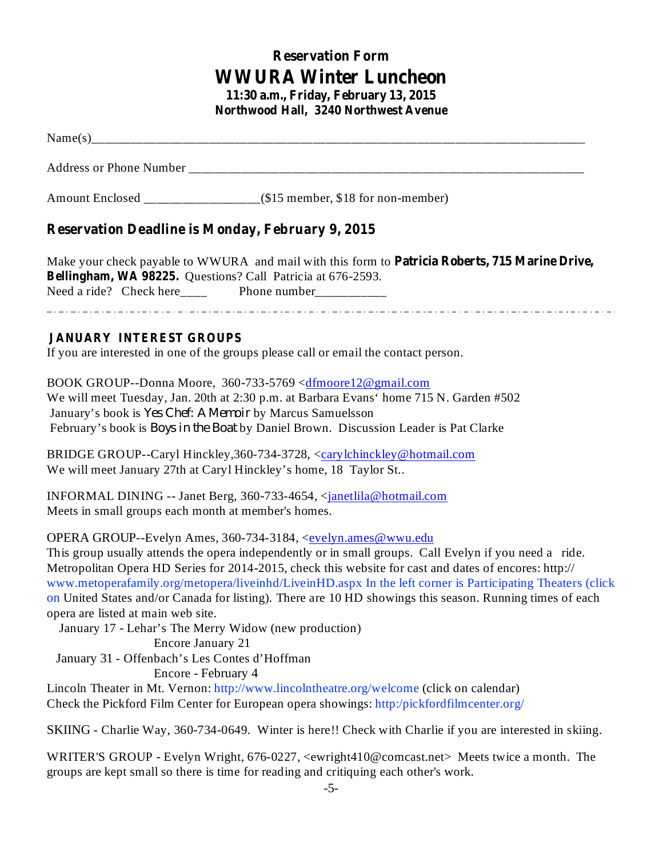# **Reservation Form WWURA Winter Luncheon**

**11:30 a.m., Friday, February 13, 2015 Northwood Hall, 3240 Northwest Avenue**

Name(s)\_\_\_\_\_\_\_\_\_\_\_\_\_\_\_\_\_\_\_\_\_\_\_\_\_\_\_\_\_\_\_\_\_\_\_\_\_\_\_\_\_\_\_\_\_\_\_\_\_\_\_\_\_\_\_\_\_\_\_\_\_\_\_\_\_\_\_\_\_\_\_\_\_\_\_\_

Address or Phone Number  $\blacksquare$ 

Amount Enclosed \_\_\_\_\_\_\_\_\_\_\_\_\_\_\_\_\_\_(\$15 member, \$18 for non-member)

## **Reservation Deadline is Monday, February 9, 2015**

**Patricia Roberts, 715 Marine Drive,** Make your check payable to WWURA and mail with this form to **Bellingham, WA 98225.** Questions? Call Patricia at 676-2593. Need a ride? Check here\_\_\_\_\_ Phone number\_\_\_\_\_\_\_\_\_\_\_

#### **JANUARY INTEREST GROUPS**

If you are interested in one of the groups please call or email the contact person.

BOOK GROUP--Donna Moore, 360-733-5769 <dfmoore12@gmail.com We will meet Tuesday, Jan. 20th at 2:30 p.m. at Barbara Evans' home 715 N. Garden #502 January's book is Yes Chef: A Memoir by Marcus Samuelsson February's book is *Boys in the Boat* by Daniel Brown. Discussion Leader is Pat Clarke

BRIDGE GROUP--Caryl Hinckley, 360-734-3728, <carylchinckley@hotmail.com We will meet January 27th at Caryl Hinckley's home, 18 Taylor St..

INFORMAL DINING -- Janet Berg, 360-733-4654, <janetlila@hotmail.com Meets in small groups each month at member's homes.

OPERA GROUP--Evelyn Ames, 360-734-3184, <evelyn.ames@wwu.edu

This group usually attends the opera independently or in small groups. Call Evelyn if you need a ride. Metropolitan Opera HD Series for 2014-2015, check this website for cast and dates of encores: http:// www.metoperafamily.org/metopera/liveinhd/LiveinHD.aspx In the left corner is Participating Theaters (click on United States and/or Canada for listing). There are 10 HD showings this season. Running times of each opera are listed at main web site.

January 17 - Lehar's The Merry Widow (new production)

Encore January 21

January 31 - Offenbach's Les Contes d'Hoffman

Encore - February 4

Lincoln Theater in Mt. Vernon: http://www.lincolntheatre.org/welcome (click on calendar) Check the Pickford Film Center for European opera showings: http:/pickfordfilmcenter.org/

SKIING - Charlie Way, 360-734-0649. Winter is here!! Check with Charlie if you are interested in skiing.

WRITER'S GROUP - Evelyn Wright, 676-0227, <ewright410@comcast.net> Meets twice a month. The groups are kept small so there is time for reading and critiquing each other's work.